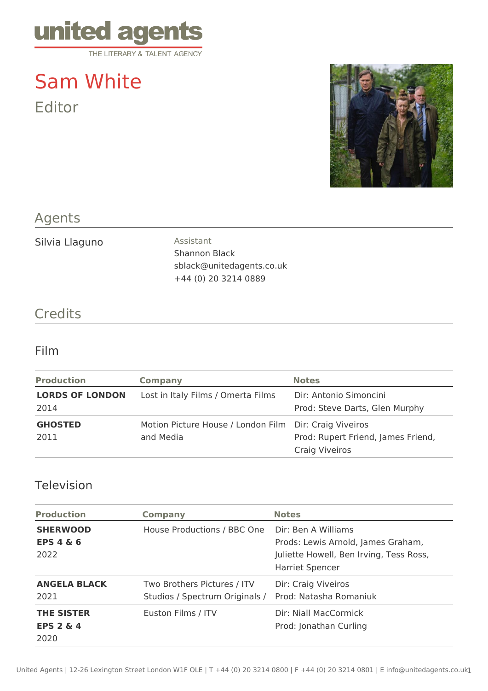

# Sam White Editor



# Agents

Silvia Llaguno **Assistant** 

Shannon Black sblack@unitedagents.co.uk +44 (0) 20 3214 0889

### **Credits**

#### Film

| <b>Production</b>      | <b>Company</b>                                         | <b>Notes</b>                       |
|------------------------|--------------------------------------------------------|------------------------------------|
| <b>LORDS OF LONDON</b> | Lost in Italy Films / Omerta Films                     | Dir: Antonio Simoncini             |
| 2014                   |                                                        | Prod: Steve Darts, Glen Murphy     |
| <b>GHOSTED</b>         | Motion Picture House / London Film Dir: Craig Viveiros |                                    |
| 2011                   | and Media                                              | Prod: Rupert Friend, James Friend, |
|                        |                                                        | Craig Viveiros                     |

## Television

| <b>Production</b>                                 | <b>Company</b>                                                | <b>Notes</b>                                                                                                                   |
|---------------------------------------------------|---------------------------------------------------------------|--------------------------------------------------------------------------------------------------------------------------------|
| <b>SHERWOOD</b><br>EPS $4\&6$<br>2022             | House Productions / BBC One                                   | Dir: Ben A Williams<br>Prods: Lewis Arnold, James Graham,<br>Juliette Howell, Ben Irving, Tess Ross,<br><b>Harriet Spencer</b> |
| <b>ANGELA BLACK</b><br>2021                       | Two Brothers Pictures / ITV<br>Studios / Spectrum Originals / | Dir: Craig Viveiros<br>Prod: Natasha Romaniuk                                                                                  |
| <b>THE SISTER</b><br><b>EPS 2 &amp; 4</b><br>2020 | Euston Films / ITV                                            | Dir: Niall MacCormick<br>Prod: Jonathan Curling                                                                                |